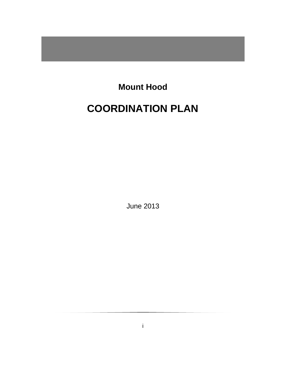**Mount Hood**

# **COORDINATION PLAN**

June 2013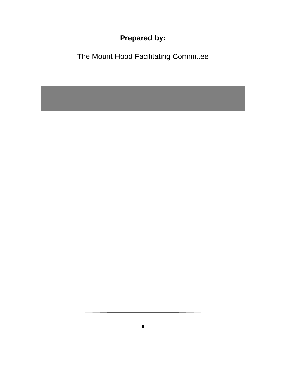# **Prepared by:**

The Mount Hood Facilitating Committee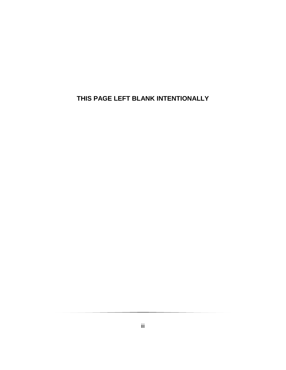**THIS PAGE LEFT BLANK INTENTIONALLY**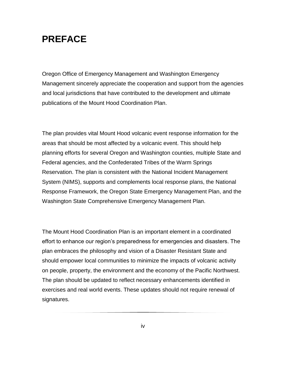# <span id="page-3-0"></span>**PREFACE**

Oregon Office of Emergency Management and Washington Emergency Management sincerely appreciate the cooperation and support from the agencies and local jurisdictions that have contributed to the development and ultimate publications of the Mount Hood Coordination Plan.

The plan provides vital Mount Hood volcanic event response information for the areas that should be most affected by a volcanic event. This should help planning efforts for several Oregon and Washington counties, multiple State and Federal agencies, and the Confederated Tribes of the Warm Springs Reservation. The plan is consistent with the National Incident Management System (NIMS), supports and complements local response plans, the National Response Framework, the Oregon State Emergency Management Plan, and the Washington State Comprehensive Emergency Management Plan.

The Mount Hood Coordination Plan is an important element in a coordinated effort to enhance our region's preparedness for emergencies and disasters. The plan embraces the philosophy and vision of a Disaster Resistant State and should empower local communities to minimize the impacts of volcanic activity on people, property, the environment and the economy of the Pacific Northwest. The plan should be updated to reflect necessary enhancements identified in exercises and real world events. These updates should not require renewal of signatures.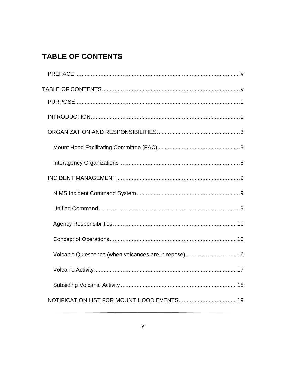# <span id="page-4-0"></span>**TABLE OF CONTENTS**

| Volcanic Quiescence (when volcanoes are in repose)  16 |  |
|--------------------------------------------------------|--|
|                                                        |  |
|                                                        |  |
|                                                        |  |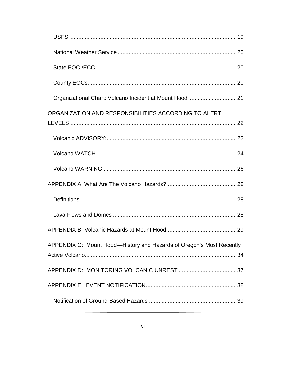| ORGANIZATION AND RESPONSIBILITIES ACCORDING TO ALERT                 |  |
|----------------------------------------------------------------------|--|
|                                                                      |  |
|                                                                      |  |
|                                                                      |  |
|                                                                      |  |
|                                                                      |  |
|                                                                      |  |
|                                                                      |  |
|                                                                      |  |
| APPENDIX C: Mount Hood—History and Hazards of Oregon's Most Recently |  |
|                                                                      |  |
|                                                                      |  |
|                                                                      |  |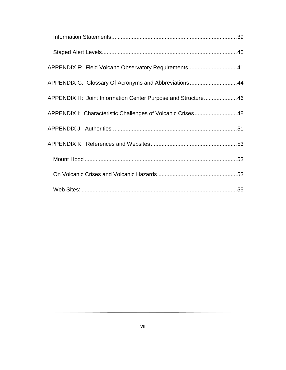| APPENDIX F: Field Volcano Observatory Requirements41         |  |
|--------------------------------------------------------------|--|
| APPENDIX G: Glossary Of Acronyms and Abbreviations44         |  |
| APPENDIX H: Joint Information Center Purpose and Structure46 |  |
| APPENDIX I: Characteristic Challenges of Volcanic Crises 48  |  |
|                                                              |  |
|                                                              |  |
|                                                              |  |
|                                                              |  |
|                                                              |  |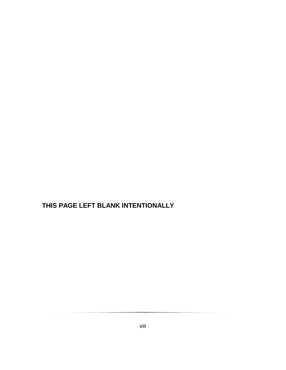**THIS PAGE LEFT BLANK INTENTIONALLY**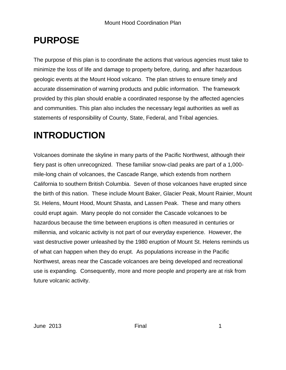# <span id="page-8-0"></span>**PURPOSE**

The purpose of this plan is to coordinate the actions that various agencies must take to minimize the loss of life and damage to property before, during, and after hazardous geologic events at the Mount Hood volcano. The plan strives to ensure timely and accurate dissemination of warning products and public information. The framework provided by this plan should enable a coordinated response by the affected agencies and communities. This plan also includes the necessary legal authorities as well as statements of responsibility of County, State, Federal, and Tribal agencies.

# <span id="page-8-1"></span>**INTRODUCTION**

Volcanoes dominate the skyline in many parts of the Pacific Northwest, although their fiery past is often unrecognized. These familiar snow-clad peaks are part of a 1,000 mile-long chain of volcanoes, the Cascade Range, which extends from northern California to southern British Columbia. Seven of those volcanoes have erupted since the birth of this nation. These include Mount Baker, Glacier Peak, Mount Rainier, Mount St. Helens, Mount Hood, Mount Shasta, and Lassen Peak. These and many others could erupt again. Many people do not consider the Cascade volcanoes to be hazardous because the time between eruptions is often measured in centuries or millennia, and volcanic activity is not part of our everyday experience. However, the vast destructive power unleashed by the 1980 eruption of Mount St. Helens reminds us of what can happen when they do erupt. As populations increase in the Pacific Northwest, areas near the Cascade volcanoes are being developed and recreational use is expanding. Consequently, more and more people and property are at risk from future volcanic activity.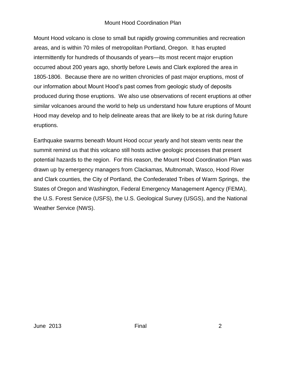#### Mount Hood Coordination Plan

Mount Hood volcano is close to small but rapidly growing communities and recreation areas, and is within 70 miles of metropolitan Portland, Oregon. It has erupted intermittently for hundreds of thousands of years—its most recent major eruption occurred about 200 years ago, shortly before Lewis and Clark explored the area in 1805-1806. Because there are no written chronicles of past major eruptions, most of our information about Mount Hood's past comes from geologic study of deposits produced during those eruptions. We also use observations of recent eruptions at other similar volcanoes around the world to help us understand how future eruptions of Mount Hood may develop and to help delineate areas that are likely to be at risk during future eruptions.

Earthquake swarms beneath Mount Hood occur yearly and hot steam vents near the summit remind us that this volcano still hosts active geologic processes that present potential hazards to the region. For this reason, the Mount Hood Coordination Plan was drawn up by emergency managers from Clackamas, Multnomah, Wasco, Hood River and Clark counties, the City of Portland, the Confederated Tribes of Warm Springs, the States of Oregon and Washington, Federal Emergency Management Agency (FEMA), the U.S. Forest Service (USFS), the U.S. Geological Survey (USGS), and the National Weather Service (NWS).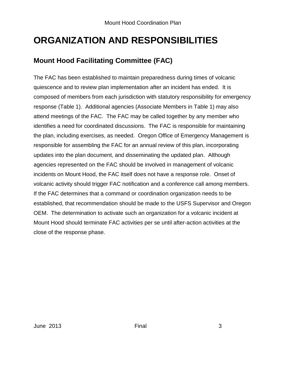# <span id="page-10-0"></span>**ORGANIZATION AND RESPONSIBILITIES**

# <span id="page-10-1"></span>**Mount Hood Facilitating Committee (FAC)**

The FAC has been established to maintain preparedness during times of volcanic quiescence and to review plan implementation after an incident has ended. It is composed of members from each jurisdiction with statutory responsibility for emergency response (Table 1). Additional agencies (Associate Members in Table 1) may also attend meetings of the FAC. The FAC may be called together by any member who identifies a need for coordinated discussions. The FAC is responsible for maintaining the plan, including exercises, as needed. Oregon Office of Emergency Management is responsible for assembling the FAC for an annual review of this plan, incorporating updates into the plan document, and disseminating the updated plan. Although agencies represented on the FAC should be involved in management of volcanic incidents on Mount Hood, the FAC itself does not have a response role. Onset of volcanic activity should trigger FAC notification and a conference call among members. If the FAC determines that a command or coordination organization needs to be established, that recommendation should be made to the USFS Supervisor and Oregon OEM. The determination to activate such an organization for a volcanic incident at Mount Hood should terminate FAC activities per se until after-action activities at the close of the response phase.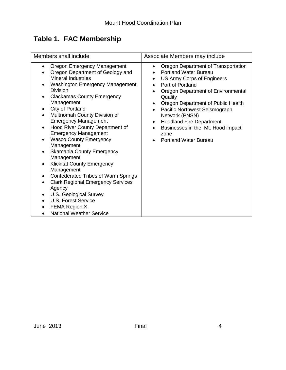# **Table 1. FAC Membership**

| Members shall include                                                                                                                                                                                                                                                                                                                                                                                                                                                                                                                                                                                                                                                                                                                                                                                                                                                                                              | Associate Members may include                                                                                                                                                                                                                                                                                                                                                                                                                                                     |
|--------------------------------------------------------------------------------------------------------------------------------------------------------------------------------------------------------------------------------------------------------------------------------------------------------------------------------------------------------------------------------------------------------------------------------------------------------------------------------------------------------------------------------------------------------------------------------------------------------------------------------------------------------------------------------------------------------------------------------------------------------------------------------------------------------------------------------------------------------------------------------------------------------------------|-----------------------------------------------------------------------------------------------------------------------------------------------------------------------------------------------------------------------------------------------------------------------------------------------------------------------------------------------------------------------------------------------------------------------------------------------------------------------------------|
| Oregon Emergency Management<br>$\bullet$<br>Oregon Department of Geology and<br>$\bullet$<br><b>Mineral Industries</b><br><b>Washington Emergency Management</b><br><b>Division</b><br><b>Clackamas County Emergency</b><br>$\bullet$<br>Management<br>City of Portland<br>$\bullet$<br>Multnomah County Division of<br>$\bullet$<br><b>Emergency Management</b><br>Hood River County Department of<br>$\bullet$<br><b>Emergency Management</b><br><b>Wasco County Emergency</b><br>$\bullet$<br>Management<br><b>Skamania County Emergency</b><br>$\bullet$<br>Management<br><b>Klickitat County Emergency</b><br>$\bullet$<br>Management<br><b>Confederated Tribes of Warm Springs</b><br>٠<br><b>Clark Regional Emergency Services</b><br>$\bullet$<br>Agency<br>U.S. Geological Survey<br>٠<br><b>U.S. Forest Service</b><br>$\bullet$<br><b>FEMA Region X</b><br>$\bullet$<br><b>National Weather Service</b> | Oregon Department of Transportation<br>$\bullet$<br><b>Portland Water Bureau</b><br>$\bullet$<br><b>US Army Corps of Engineers</b><br>Port of Portland<br>$\bullet$<br>Oregon Department of Environmental<br>Quality<br>Oregon Department of Public Health<br>$\bullet$<br>Pacific Northwest Seismograph<br>$\bullet$<br>Network (PNSN)<br><b>Hoodland Fire Department</b><br>$\bullet$<br>Businesses in the Mt. Hood impact<br>$\bullet$<br>zone<br><b>Portland Water Bureau</b> |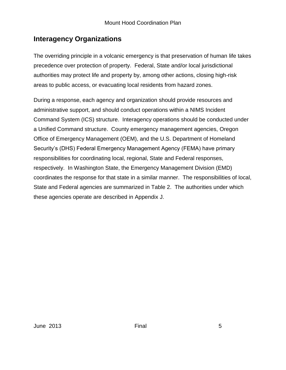# <span id="page-12-0"></span>**Interagency Organizations**

The overriding principle in a volcanic emergency is that preservation of human life takes precedence over protection of property. Federal, State and/or local jurisdictional authorities may protect life and property by, among other actions, closing high-risk areas to public access, or evacuating local residents from hazard zones.

During a response, each agency and organization should provide resources and administrative support, and should conduct operations within a NIMS Incident Command System (ICS) structure. Interagency operations should be conducted under a Unified Command structure. County emergency management agencies, Oregon Office of Emergency Management (OEM), and the U.S. Department of Homeland Security's (DHS) Federal Emergency Management Agency (FEMA) have primary responsibilities for coordinating local, regional, State and Federal responses, respectively. In Washington State, the Emergency Management Division (EMD) coordinates the response for that state in a similar manner. The responsibilities of local, State and Federal agencies are summarized in Table 2. The authorities under which these agencies operate are described in Appendix J.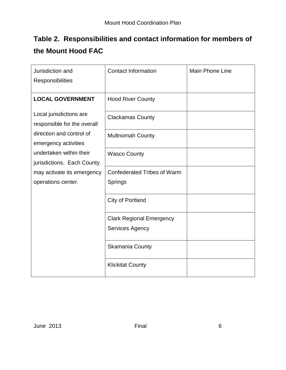# **Table 2. Responsibilities and contact information for members of the Mount Hood FAC**

| Jurisdiction and                                                                                          | <b>Contact Information</b>         | Main Phone Line |
|-----------------------------------------------------------------------------------------------------------|------------------------------------|-----------------|
| Responsibilities                                                                                          |                                    |                 |
| <b>LOCAL GOVERNMENT</b>                                                                                   | <b>Hood River County</b>           |                 |
| Local jurisdictions are<br>responsible for the overall                                                    | <b>Clackamas County</b>            |                 |
| direction and control of<br>emergency activities                                                          | Multnomah County                   |                 |
| undertaken within their<br>jurisdictions. Each County<br>may activate its emergency<br>operations center. | <b>Wasco County</b>                |                 |
|                                                                                                           | <b>Confederated Tribes of Warm</b> |                 |
|                                                                                                           | Springs                            |                 |
|                                                                                                           | City of Portland                   |                 |
|                                                                                                           | <b>Clark Regional Emergency</b>    |                 |
|                                                                                                           | Services Agency                    |                 |
|                                                                                                           | <b>Skamania County</b>             |                 |
|                                                                                                           | <b>Klickitat County</b>            |                 |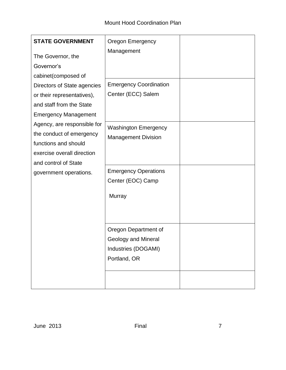| <b>STATE GOVERNMENT</b>     | <b>Oregon Emergency</b>       |  |
|-----------------------------|-------------------------------|--|
| The Governor, the           | Management                    |  |
| Governor's                  |                               |  |
| cabinet(composed of         |                               |  |
| Directors of State agencies | <b>Emergency Coordination</b> |  |
| or their representatives),  | Center (ECC) Salem            |  |
| and staff from the State    |                               |  |
| <b>Emergency Management</b> |                               |  |
| Agency, are responsible for | <b>Washington Emergency</b>   |  |
| the conduct of emergency    | <b>Management Division</b>    |  |
| functions and should        |                               |  |
| exercise overall direction  |                               |  |
| and control of State        |                               |  |
| government operations.      | <b>Emergency Operations</b>   |  |
|                             | Center (EOC) Camp             |  |
|                             | <b>Murray</b>                 |  |
|                             |                               |  |
|                             |                               |  |
|                             |                               |  |
|                             | Oregon Department of          |  |
|                             | Geology and Mineral           |  |
|                             | Industries (DOGAMI)           |  |
|                             | Portland, OR                  |  |
|                             |                               |  |
|                             |                               |  |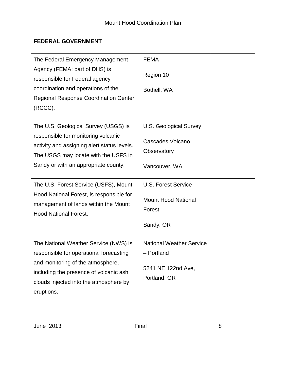| <b>FEDERAL GOVERNMENT</b>                                                                                                                                                                                               |                                                                                          |  |
|-------------------------------------------------------------------------------------------------------------------------------------------------------------------------------------------------------------------------|------------------------------------------------------------------------------------------|--|
| The Federal Emergency Management<br>Agency (FEMA; part of DHS) is<br>responsible for Federal agency<br>coordination and operations of the<br><b>Regional Response Coordination Center</b><br>(RCCC).                    | <b>FEMA</b><br>Region 10<br>Bothell, WA                                                  |  |
| The U.S. Geological Survey (USGS) is<br>responsible for monitoring volcanic<br>activity and assigning alert status levels.<br>The USGS may locate with the USFS in<br>Sandy or with an appropriate county.              | <b>U.S. Geological Survey</b><br><b>Cascades Volcano</b><br>Observatory<br>Vancouver, WA |  |
| The U.S. Forest Service (USFS), Mount<br>Hood National Forest, is responsible for<br>management of lands within the Mount<br><b>Hood National Forest.</b>                                                               | <b>U.S. Forest Service</b><br><b>Mount Hood National</b><br>Forest<br>Sandy, OR          |  |
| The National Weather Service (NWS) is<br>responsible for operational forecasting<br>and monitoring of the atmosphere,<br>including the presence of volcanic ash<br>clouds injected into the atmosphere by<br>eruptions. | <b>National Weather Service</b><br>- Portland<br>5241 NE 122nd Ave,<br>Portland, OR      |  |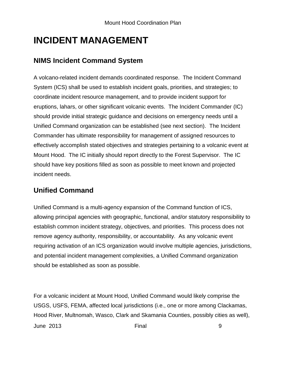# <span id="page-16-0"></span>**INCIDENT MANAGEMENT**

# <span id="page-16-1"></span>**NIMS Incident Command System**

A volcano-related incident demands coordinated response. The Incident Command System (ICS) shall be used to establish incident goals, priorities, and strategies; to coordinate incident resource management, and to provide incident support for eruptions, lahars, or other significant volcanic events. The Incident Commander (IC) should provide initial strategic guidance and decisions on emergency needs until a Unified Command organization can be established (see next section). The Incident Commander has ultimate responsibility for management of assigned resources to effectively accomplish stated objectives and strategies pertaining to a volcanic event at Mount Hood. The IC initially should report directly to the Forest Supervisor. The IC should have key positions filled as soon as possible to meet known and projected incident needs.

# <span id="page-16-2"></span>**Unified Command**

Unified Command is a multi-agency expansion of the Command function of ICS, allowing principal agencies with geographic, functional, and/or statutory responsibility to establish common incident strategy, objectives, and priorities. This process does not remove agency authority, responsibility, or accountability. As any volcanic event requiring activation of an ICS organization would involve multiple agencies, jurisdictions, and potential incident management complexities, a Unified Command organization should be established as soon as possible.

June 2013 **Final** 9 For a volcanic incident at Mount Hood, Unified Command would likely comprise the USGS, USFS, FEMA, affected local jurisdictions (i.e., one or more among Clackamas, Hood River, Multnomah, Wasco, Clark and Skamania Counties, possibly cities as well),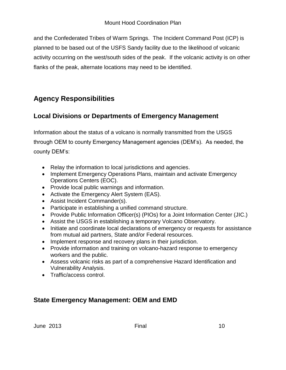and the Confederated Tribes of Warm Springs. The Incident Command Post (ICP) is planned to be based out of the USFS Sandy facility due to the likelihood of volcanic activity occurring on the west/south sides of the peak. If the volcanic activity is on other flanks of the peak, alternate locations may need to be identified.

# <span id="page-17-0"></span>**Agency Responsibilities**

### **Local Divisions or Departments of Emergency Management**

Information about the status of a volcano is normally transmitted from the USGS through OEM to county Emergency Management agencies (DEM's). As needed, the county DEM's:

- Relay the information to local jurisdictions and agencies.
- Implement Emergency Operations Plans, maintain and activate Emergency Operations Centers (EOC).
- Provide local public warnings and information.
- Activate the Emergency Alert System (EAS).
- Assist Incident Commander(s).
- Participate in establishing a unified command structure.
- Provide Public Information Officer(s) (PIOs) for a Joint Information Center (JIC.)
- Assist the USGS in establishing a temporary Volcano Observatory.
- Initiate and coordinate local declarations of emergency or requests for assistance from mutual aid partners, State and/or Federal resources.
- Implement response and recovery plans in their jurisdiction.
- Provide information and training on volcano-hazard response to emergency workers and the public.
- Assess volcanic risks as part of a comprehensive Hazard Identification and Vulnerability Analysis.
- Traffic/access control.

### **State Emergency Management: OEM and EMD**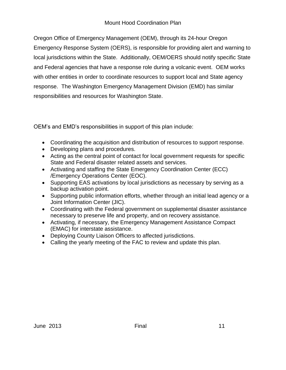#### Mount Hood Coordination Plan

Oregon Office of Emergency Management (OEM), through its 24-hour Oregon Emergency Response System (OERS), is responsible for providing alert and warning to local jurisdictions within the State. Additionally, OEM/OERS should notify specific State and Federal agencies that have a response role during a volcanic event. OEM works with other entities in order to coordinate resources to support local and State agency response. The Washington Emergency Management Division (EMD) has similar responsibilities and resources for Washington State.

OEM's and EMD's responsibilities in support of this plan include:

- Coordinating the acquisition and distribution of resources to support response.
- Developing plans and procedures.
- Acting as the central point of contact for local government requests for specific State and Federal disaster related assets and services.
- Activating and staffing the State Emergency Coordination Center (ECC) /Emergency Operations Center (EOC).
- Supporting EAS activations by local jurisdictions as necessary by serving as a backup activation point.
- Supporting public information efforts, whether through an initial lead agency or a Joint Information Center (JIC).
- Coordinating with the Federal government on supplemental disaster assistance necessary to preserve life and property, and on recovery assistance.
- Activating, if necessary, the Emergency Management Assistance Compact (EMAC) for interstate assistance.
- Deploying County Liaison Officers to affected jurisdictions.
- Calling the yearly meeting of the FAC to review and update this plan.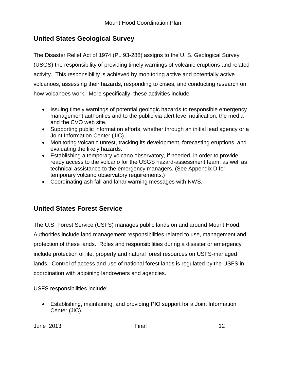#### **United States Geological Survey**

The Disaster Relief Act of 1974 (PL 93-288) assigns to the U. S. Geological Survey (USGS) the responsibility of providing timely warnings of volcanic eruptions and related activity. This responsibility is achieved by monitoring active and potentially active volcanoes, assessing their hazards, responding to crises, and conducting research on how volcanoes work. More specifically, these activities include:

- Issuing timely warnings of potential geologic hazards to responsible emergency management authorities and to the public via alert level notification, the media and the CVO web site.
- Supporting public information efforts, whether through an initial lead agency or a Joint Information Center (JIC).
- Monitoring volcanic unrest, tracking its development, forecasting eruptions, and evaluating the likely hazards.
- Establishing a temporary volcano observatory, if needed, in order to provide ready access to the volcano for the USGS hazard-assessment team, as well as technical assistance to the emergency managers. (See Appendix D for temporary volcano observatory requirements.)
- Coordinating ash fall and lahar warning messages with NWS.

#### **United States Forest Service**

The U.S. Forest Service (USFS) manages public lands on and around Mount Hood. Authorities include land management responsibilities related to use, management and protection of these lands. Roles and responsibilities during a disaster or emergency include protection of life, property and natural forest resources on USFS-managed lands. Control of access and use of national forest lands is regulated by the USFS in coordination with adjoining landowners and agencies.

USFS responsibilities include:

 Establishing, maintaining, and providing PIO support for a Joint Information Center (JIC).

June 2013 Final 12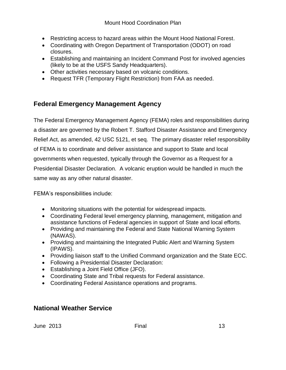- Restricting access to hazard areas within the Mount Hood National Forest.
- Coordinating with Oregon Department of Transportation (ODOT) on road closures.
- Establishing and maintaining an Incident Command Post for involved agencies (likely to be at the USFS Sandy Headquarters).
- Other activities necessary based on volcanic conditions.
- Request TFR (Temporary Flight Restriction) from FAA as needed.

### **Federal Emergency Management Agency**

The Federal Emergency Management Agency (FEMA) roles and responsibilities during a disaster are governed by the Robert T. Stafford Disaster Assistance and Emergency Relief Act, as amended, 42 USC 5121, et seq. The primary disaster relief responsibility of FEMA is to coordinate and deliver assistance and support to State and local governments when requested, typically through the Governor as a Request for a Presidential Disaster Declaration. A volcanic eruption would be handled in much the same way as any other natural disaster.

FEMA's responsibilities include:

- Monitoring situations with the potential for widespread impacts.
- Coordinating Federal level emergency planning, management, mitigation and assistance functions of Federal agencies in support of State and local efforts.
- Providing and maintaining the Federal and State National Warning System (NAWAS).
- Providing and maintaining the Integrated Public Alert and Warning System (IPAWS).
- Providing liaison staff to the Unified Command organization and the State ECC.
- Following a Presidential Disaster Declaration:
- Establishing a Joint Field Office (JFO).
- Coordinating State and Tribal requests for Federal assistance.
- Coordinating Federal Assistance operations and programs.

#### **National Weather Service**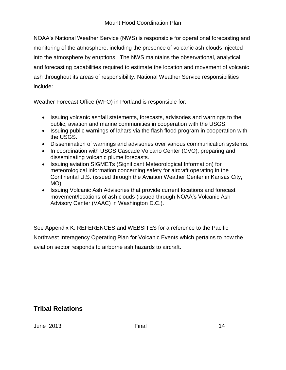NOAA's National Weather Service (NWS) is responsible for operational forecasting and monitoring of the atmosphere, including the presence of volcanic ash clouds injected into the atmosphere by eruptions. The NWS maintains the observational, analytical, and forecasting capabilities required to estimate the location and movement of volcanic ash throughout its areas of responsibility. National Weather Service responsibilities include:

Weather Forecast Office (WFO) in Portland is responsible for:

- Issuing volcanic ashfall statements, forecasts, advisories and warnings to the public, aviation and marine communities in cooperation with the USGS.
- Issuing public warnings of lahars via the flash flood program in cooperation with the USGS.
- Dissemination of warnings and advisories over various communication systems.
- In coordination with USGS Cascade Volcano Center (CVO), preparing and disseminating volcanic plume forecasts.
- Issuing aviation SIGMETs (Significant Meteorological Information) for meteorological information concerning safety for aircraft operating in the Continental U.S. (issued through the Aviation Weather Center in Kansas City, MO).
- Issuing Volcanic Ash Advisories that provide current locations and forecast movement/locations of ash clouds (issued through NOAA's Volcanic Ash Advisory Center (VAAC) in Washington D.C.).

See Appendix K: REFERENCES and WEBSITES for a reference to the Pacific Northwest Interagency Operating Plan for Volcanic Events which pertains to how the aviation sector responds to airborne ash hazards to aircraft.

### **Tribal Relations**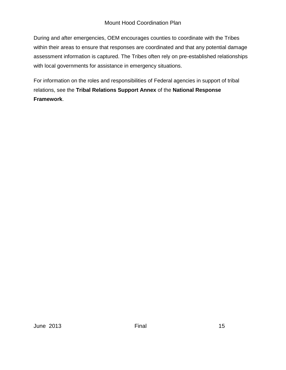#### Mount Hood Coordination Plan

During and after emergencies, OEM encourages counties to coordinate with the Tribes within their areas to ensure that responses are coordinated and that any potential damage assessment information is captured. The Tribes often rely on pre-established relationships with local governments for assistance in emergency situations.

For information on the roles and responsibilities of Federal agencies in support of tribal relations, see the **Tribal Relations Support Annex** of the **National Response Framework**.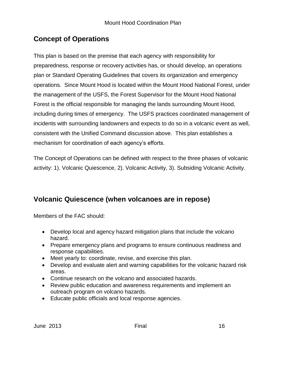# <span id="page-23-0"></span>**Concept of Operations**

This plan is based on the premise that each agency with responsibility for preparedness, response or recovery activities has, or should develop, an operations plan or Standard Operating Guidelines that covers its organization and emergency operations. Since Mount Hood is located within the Mount Hood National Forest, under the management of the USFS, the Forest Supervisor for the Mount Hood National Forest is the official responsible for managing the lands surrounding Mount Hood, including during times of emergency. The USFS practices coordinated management of incidents with surrounding landowners and expects to do so in a volcanic event as well, consistent with the Unified Command discussion above. This plan establishes a mechanism for coordination of each agency's efforts.

The Concept of Operations can be defined with respect to the three phases of volcanic activity: 1). Volcanic Quiescence, 2). Volcanic Activity, 3). Subsiding Volcanic Activity.

### <span id="page-23-1"></span>**Volcanic Quiescence (when volcanoes are in repose)**

Members of the FAC should:

- Develop local and agency hazard mitigation plans that include the volcano hazard.
- Prepare emergency plans and programs to ensure continuous readiness and response capabilities.
- Meet yearly to: coordinate, revise, and exercise this plan.
- Develop and evaluate alert and warning capabilities for the volcanic hazard risk areas.
- Continue research on the volcano and associated hazards.
- Review public education and awareness requirements and implement an outreach program on volcano hazards.
- Educate public officials and local response agencies.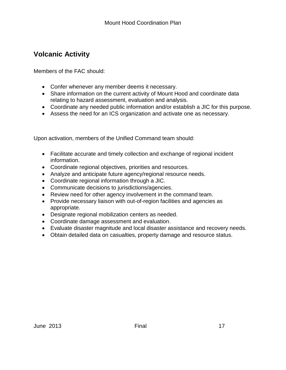# <span id="page-24-0"></span>**Volcanic Activity**

Members of the FAC should:

- Confer whenever any member deems it necessary.
- Share information on the current activity of Mount Hood and coordinate data relating to hazard assessment, evaluation and analysis.
- Coordinate any needed public information and/or establish a JIC for this purpose.
- Assess the need for an ICS organization and activate one as necessary.

Upon activation, members of the Unified Command team should:

- Facilitate accurate and timely collection and exchange of regional incident information.
- Coordinate regional objectives, priorities and resources.
- Analyze and anticipate future agency/regional resource needs.
- Coordinate regional information through a JIC.
- Communicate decisions to jurisdictions/agencies.
- Review need for other agency involvement in the command team.
- Provide necessary liaison with out-of-region facilities and agencies as appropriate.
- Designate regional mobilization centers as needed.
- Coordinate damage assessment and evaluation.
- Evaluate disaster magnitude and local disaster assistance and recovery needs.
- Obtain detailed data on casualties, property damage and resource status.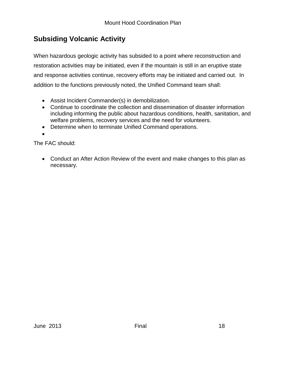# <span id="page-25-0"></span>**Subsiding Volcanic Activity**

When hazardous geologic activity has subsided to a point where reconstruction and restoration activities may be initiated, even if the mountain is still in an eruptive state and response activities continue, recovery efforts may be initiated and carried out. In addition to the functions previously noted, the Unified Command team shall:

- Assist Incident Commander(s) in demobilization.
- Continue to coordinate the collection and dissemination of disaster information including informing the public about hazardous conditions, health, sanitation, and welfare problems, recovery services and the need for volunteers.
- Determine when to terminate Unified Command operations.

 $\bullet$ 

The FAC should:

 Conduct an After Action Review of the event and make changes to this plan as necessary.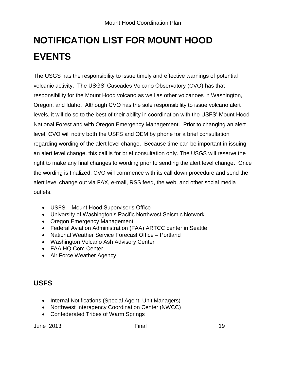# <span id="page-26-0"></span>**NOTIFICATION LIST FOR MOUNT HOOD EVENTS**

The USGS has the responsibility to issue timely and effective warnings of potential volcanic activity. The USGS' Cascades Volcano Observatory (CVO) has that responsibility for the Mount Hood volcano as well as other volcanoes in Washington, Oregon, and Idaho. Although CVO has the sole responsibility to issue volcano alert levels, it will do so to the best of their ability in coordination with the USFS' Mount Hood National Forest and with Oregon Emergency Management. Prior to changing an alert level, CVO will notify both the USFS and OEM by phone for a brief consultation regarding wording of the alert level change. Because time can be important in issuing an alert level change, this call is for brief consultation only. The USGS will reserve the right to make any final changes to wording prior to sending the alert level change. Once the wording is finalized, CVO will commence with its call down procedure and send the alert level change out via FAX, e-mail, RSS feed, the web, and other social media outlets.

- USFS Mount Hood Supervisor's Office
- University of Washington's Pacific Northwest Seismic Network
- Oregon Emergency Management
- Federal Aviation Administration (FAA) ARTCC center in Seattle
- National Weather Service Forecast Office Portland
- Washington Volcano Ash Advisory Center
- FAA HQ Com Center
- Air Force Weather Agency

# <span id="page-26-1"></span>**USFS**

- Internal Notifications (Special Agent, Unit Managers)
- Northwest Interagency Coordination Center (NWCC)
- Confederated Tribes of Warm Springs

June 2013 Final 19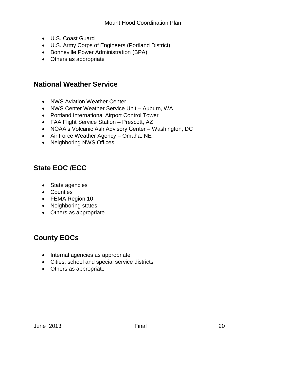- U.S. Coast Guard
- U.S. Army Corps of Engineers (Portland District)
- **•** Bonneville Power Administration (BPA)
- Others as appropriate

### <span id="page-27-0"></span>**National Weather Service**

- NWS Aviation Weather Center
- NWS Center Weather Service Unit Auburn, WA
- Portland International Airport Control Tower
- FAA Flight Service Station Prescott, AZ
- NOAA's Volcanic Ash Advisory Center Washington, DC
- Air Force Weather Agency Omaha, NE
- Neighboring NWS Offices

# <span id="page-27-1"></span>**State EOC /ECC**

- State agencies
- Counties
- FEMA Region 10
- Neighboring states
- Others as appropriate

# <span id="page-27-2"></span>**County EOCs**

- Internal agencies as appropriate
- Cities, school and special service districts
- Others as appropriate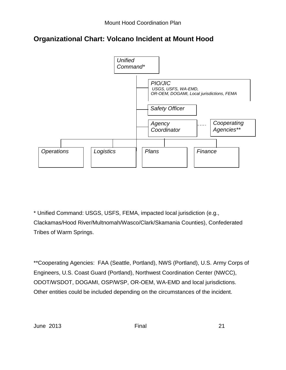# <span id="page-28-0"></span>**Organizational Chart: Volcano Incident at Mount Hood**



\* Unified Command: USGS, USFS, FEMA, impacted local jurisdiction (e.g., Clackamas/Hood River/Multnomah/Wasco/Clark/Skamania Counties), Confederated Tribes of Warm Springs.

\*\*Cooperating Agencies: FAA (Seattle, Portland), NWS (Portland), U.S. Army Corps of Engineers, U.S. Coast Guard (Portland), Northwest Coordination Center (NWCC), ODOT/WSDOT, DOGAMI, OSP/WSP, OR-OEM, WA-EMD and local jurisdictions. Other entities could be included depending on the circumstances of the incident.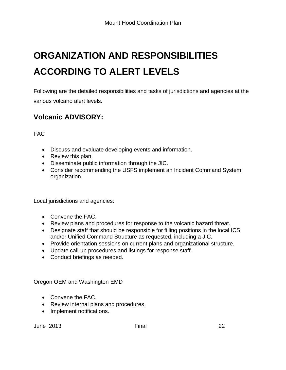# <span id="page-29-0"></span>**ORGANIZATION AND RESPONSIBILITIES ACCORDING TO ALERT LEVELS**

Following are the detailed responsibilities and tasks of jurisdictions and agencies at the various volcano alert levels.

# <span id="page-29-1"></span>**Volcanic ADVISORY:**

FAC

- Discuss and evaluate developing events and information.
- Review this plan.
- Disseminate public information through the JIC.
- Consider recommending the USFS implement an Incident Command System organization.

Local jurisdictions and agencies:

- Convene the FAC.
- Review plans and procedures for response to the volcanic hazard threat.
- Designate staff that should be responsible for filling positions in the local ICS and/or Unified Command Structure as requested, including a JIC.
- Provide orientation sessions on current plans and organizational structure.
- Update call-up procedures and listings for response staff.
- Conduct briefings as needed.

Oregon OEM and Washington EMD

- Convene the FAC.
- Review internal plans and procedures.
- Implement notifications.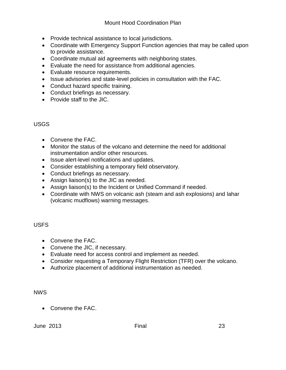- Provide technical assistance to local jurisdictions.
- Coordinate with Emergency Support Function agencies that may be called upon to provide assistance.
- Coordinate mutual aid agreements with neighboring states.
- Evaluate the need for assistance from additional agencies.
- Evaluate resource requirements.
- Issue advisories and state-level policies in consultation with the FAC.
- Conduct hazard specific training.
- Conduct briefings as necessary.
- Provide staff to the JIC.

#### USGS

- Convene the FAC.
- Monitor the status of the volcano and determine the need for additional instrumentation and/or other resources.
- Issue alert-level notifications and updates.
- Consider establishing a temporary field observatory.
- Conduct briefings as necessary.
- Assign liaison(s) to the JIC as needed.
- Assign liaison(s) to the Incident or Unified Command if needed.
- Coordinate with NWS on volcanic ash (steam and ash explosions) and lahar (volcanic mudflows) warning messages.

#### USFS

- Convene the FAC.
- Convene the JIC, if necessary.
- Evaluate need for access control and implement as needed.
- Consider requesting a Temporary Flight Restriction (TFR) over the volcano.
- Authorize placement of additional instrumentation as needed.

#### NWS

Convene the FAC.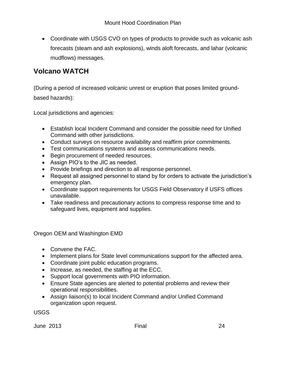Coordinate with USGS CVO on types of products to provide such as volcanic ash forecasts (steam and ash explosions), winds aloft forecasts, and lahar (volcanic mudflows) messages.

### <span id="page-31-0"></span>**Volcano WATCH**

(During a period of increased volcanic unrest or eruption that poses limited ground-

based hazards):

Local jurisdictions and agencies:

- Establish local Incident Command and consider the possible need for Unified Command with other jurisdictions.
- Conduct surveys on resource availability and reaffirm prior commitments.
- Test communications systems and assess communications needs.
- Begin procurement of needed resources.
- Assign PIO's to the JIC as needed.
- Provide briefings and direction to all response personnel.
- Request all assigned personnel to stand by for orders to activate the jurisdiction's emergency plan.
- Coordinate support requirements for USGS Field Observatory if USFS offices unavailable.
- Take readiness and precautionary actions to compress response time and to safeguard lives, equipment and supplies.

Oregon OEM and Washington EMD

- Convene the FAC.
- Implement plans for State level communications support for the affected area.
- Coordinate joint public education programs.
- Increase, as needed, the staffing at the ECC.
- Support local governments with PIO information.
- Ensure State agencies are alerted to potential problems and review their operational responsibilities.
- Assign liaison(s) to local Incident Command and/or Unified Command organization upon request.

USGS

June 2013 **Final** 2013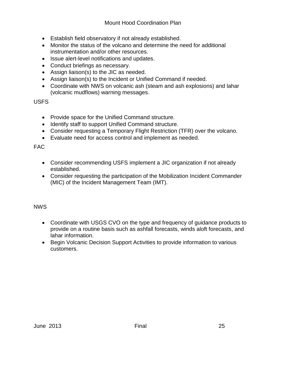- Establish field observatory if not already established.
- Monitor the status of the volcano and determine the need for additional instrumentation and/or other resources.
- Issue alert-level notifications and updates.
- Conduct briefings as necessary.
- Assign liaison(s) to the JIC as needed.
- Assign liaison(s) to the Incident or Unified Command if needed.
- Coordinate with NWS on volcanic ash (steam and ash explosions) and lahar (volcanic mudflows) warning messages.

#### USFS

- Provide space for the Unified Command structure.
- Identify staff to support Unified Command structure.
- Consider requesting a Temporary Flight Restriction (TFR) over the volcano.
- Evaluate need for access control and implement as needed.

#### FAC

- Consider recommending USFS implement a JIC organization if not already established.
- Consider requesting the participation of the Mobilization Incident Commander (MIC) of the Incident Management Team (IMT).

#### NWS

- Coordinate with USGS CVO on the type and frequency of guidance products to provide on a routine basis such as ashfall forecasts, winds aloft forecasts, and lahar information.
- Begin Volcanic Decision Support Activities to provide information to various customers.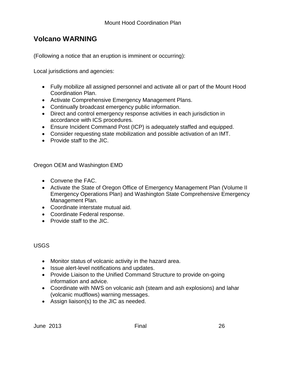### <span id="page-33-0"></span>**Volcano WARNING**

(Following a notice that an eruption is imminent or occurring):

Local jurisdictions and agencies:

- Fully mobilize all assigned personnel and activate all or part of the Mount Hood Coordination Plan.
- Activate Comprehensive Emergency Management Plans.
- Continually broadcast emergency public information.
- Direct and control emergency response activities in each jurisdiction in accordance with ICS procedures.
- Ensure Incident Command Post (ICP) is adequately staffed and equipped.
- Consider requesting state mobilization and possible activation of an IMT.
- Provide staff to the JIC.

Oregon OEM and Washington EMD

- Convene the FAC.
- Activate the State of Oregon Office of Emergency Management Plan (Volume II Emergency Operations Plan) and Washington State Comprehensive Emergency Management Plan.
- Coordinate interstate mutual aid.
- Coordinate Federal response.
- Provide staff to the JIC.

USGS

- Monitor status of volcanic activity in the hazard area.
- Issue alert-level notifications and updates.
- Provide Liaison to the Unified Command Structure to provide on-going information and advice.
- Coordinate with NWS on volcanic ash (steam and ash explosions) and lahar (volcanic mudflows) warning messages.
- Assign liaison(s) to the JIC as needed.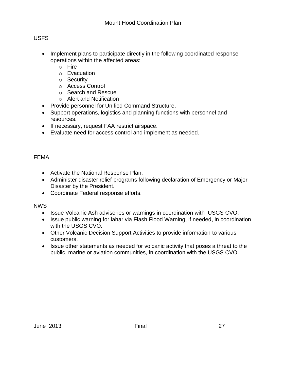#### USFS

- Implement plans to participate directly in the following coordinated response operations within the affected areas:
	- o Fire
	- o Evacuation
	- o Security
	- o Access Control
	- o Search and Rescue
	- o Alert and Notification
- Provide personnel for Unified Command Structure.
- Support operations, logistics and planning functions with personnel and resources.
- If necessary, request FAA restrict airspace.
- Evaluate need for access control and implement as needed.

#### FEMA

- Activate the National Response Plan.
- Administer disaster relief programs following declaration of Emergency or Major Disaster by the President.
- Coordinate Federal response efforts.

NWS

- Issue Volcanic Ash advisories or warnings in coordination with USGS CVO.
- Issue public warning for lahar via Flash Flood Warning, if needed, in coordination with the USGS CVO.
- Other Volcanic Decision Support Activities to provide information to various customers.
- Issue other statements as needed for volcanic activity that poses a threat to the public, marine or aviation communities, in coordination with the USGS CVO.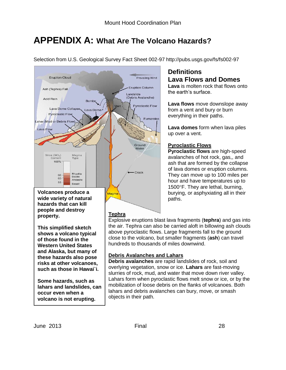Selection from U.S. Geological Survey Fact Sheet 002-97 http://pubs.usgs.gov/fs/fs002-97

# <span id="page-35-0"></span>**APPENDIX A: What Are The Volcano Hazards?**



**Volcanoes produce a wide variety of natural hazards that can kill people and destroy property.** 

**This simplified sketch shows a volcano typical of those found in the Western United States and Alaska, but many of these hazards also pose risks at other volcanoes, such as those in Hawai`i.** 

**Some hazards, such as lahars and landslides, can occur even when a volcano is not erupting.**

### **Definitions Lava Flows and Domes**

**Lava** is molten rock that flows onto the earth's surface.

**Lava flows** move downslope away from a vent and bury or burn everything in their paths.

**Lava domes** form when lava piles up over a vent.

#### **Pyroclastic Flows**

**Pyroclastic flows** are high-speed avalanches of hot rock, gas,, and ash that are formed by the collapse of lava domes or eruption columns. They can move up to 100 miles per hour and have temperatures up to 1500°F. They are lethal, burning, burying, or asphyxiating all in their paths.

#### **Tephra**

Explosive eruptions blast lava fragments (**tephra**) and gas into the air. Tephra can also be carried aloft in billowing ash clouds above pyroclastic flows. Large fragments fall to the ground close to the volcano, but smaller fragments (**ash**) can travel hundreds to thousands of miles downwind.

#### **Debris Avalanches and Lahars**

**Debris avalanches** are rapid landslides of rock, soil and overlying vegetation, snow or ice. **Lahars** are fast-moving slurries of rock, mud, and water that move down river valley. Lahars form when pyroclastic flows melt snow or ice, or by the mobilization of loose debris on the flanks of volcanoes. Both lahars and debris avalanches can bury, move, or smash objects in their path.

June 2013 Final 28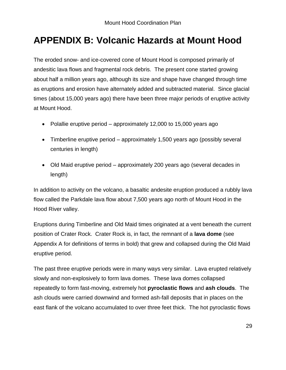# <span id="page-36-0"></span>**APPENDIX B: Volcanic Hazards at Mount Hood**

The eroded snow- and ice-covered cone of Mount Hood is composed primarily of andesitic lava flows and fragmental rock debris. The present cone started growing about half a million years ago, although its size and shape have changed through time as eruptions and erosion have alternately added and subtracted material. Since glacial times (about 15,000 years ago) there have been three major periods of eruptive activity at Mount Hood.

- Polallie eruptive period approximately 12,000 to 15,000 years ago
- Timberline eruptive period approximately 1,500 years ago (possibly several centuries in length)
- Old Maid eruptive period approximately 200 years ago (several decades in length)

In addition to activity on the volcano, a basaltic andesite eruption produced a rubbly lava flow called the Parkdale lava flow about 7,500 years ago north of Mount Hood in the Hood River valley.

Eruptions during Timberline and Old Maid times originated at a vent beneath the current position of Crater Rock. Crater Rock is, in fact, the remnant of a **lava dome** (see Appendix A for definitions of terms in bold) that grew and collapsed during the Old Maid eruptive period.

The past three eruptive periods were in many ways very similar. Lava erupted relatively slowly and non-explosively to form lava domes. These lava domes collapsed repeatedly to form fast-moving, extremely hot **pyroclastic flows** and **ash clouds**. The ash clouds were carried downwind and formed ash-fall deposits that in places on the east flank of the volcano accumulated to over three feet thick. The hot pyroclastic flows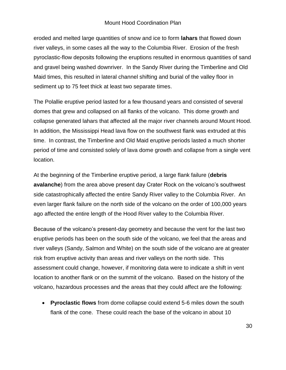#### Mount Hood Coordination Plan

eroded and melted large quantities of snow and ice to form **lahars** that flowed down river valleys, in some cases all the way to the Columbia River. Erosion of the fresh pyroclastic-flow deposits following the eruptions resulted in enormous quantities of sand and gravel being washed downriver. In the Sandy River during the Timberline and Old Maid times, this resulted in lateral channel shifting and burial of the valley floor in sediment up to 75 feet thick at least two separate times.

The Polallie eruptive period lasted for a few thousand years and consisted of several domes that grew and collapsed on all flanks of the volcano. This dome growth and collapse generated lahars that affected all the major river channels around Mount Hood. In addition, the Mississippi Head lava flow on the southwest flank was extruded at this time. In contrast, the Timberline and Old Maid eruptive periods lasted a much shorter period of time and consisted solely of lava dome growth and collapse from a single vent location.

At the beginning of the Timberline eruptive period, a large flank failure (**debris avalanche**) from the area above present day Crater Rock on the volcano's southwest side catastrophically affected the entire Sandy River valley to the Columbia River. An even larger flank failure on the north side of the volcano on the order of 100,000 years ago affected the entire length of the Hood River valley to the Columbia River.

Because of the volcano's present-day geometry and because the vent for the last two eruptive periods has been on the south side of the volcano, we feel that the areas and river valleys (Sandy, Salmon and White) on the south side of the volcano are at greater risk from eruptive activity than areas and river valleys on the north side. This assessment could change, however, if monitoring data were to indicate a shift in vent location to another flank or on the summit of the volcano. Based on the history of the volcano, hazardous processes and the areas that they could affect are the following:

 **Pyroclastic flows** from dome collapse could extend 5-6 miles down the south flank of the cone. These could reach the base of the volcano in about 10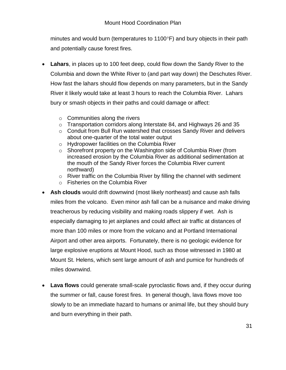minutes and would burn (temperatures to  $1100^{\circ}$ F) and bury objects in their path and potentially cause forest fires.

- **Lahars**, in places up to 100 feet deep, could flow down the Sandy River to the Columbia and down the White River to (and part way down) the Deschutes River. How fast the lahars should flow depends on many parameters, but in the Sandy River it likely would take at least 3 hours to reach the Columbia River. Lahars bury or smash objects in their paths and could damage or affect:
	- $\circ$  Communities along the rivers
	- $\circ$  Transportation corridors along Interstate 84, and Highways 26 and 35
	- o Conduit from Bull Run watershed that crosses Sandy River and delivers about one-quarter of the total water output
	- o Hydropower facilities on the Columbia River
	- o Shorefront property on the Washington side of Columbia River (from increased erosion by the Columbia River as additional sedimentation at the mouth of the Sandy River forces the Columbia River current northward)
	- o River traffic on the Columbia River by filling the channel with sediment
	- o Fisheries on the Columbia River
- **Ash clouds** would drift downwind (most likely northeast) and cause ash falls miles from the volcano. Even minor ash fall can be a nuisance and make driving treacherous by reducing visibility and making roads slippery if wet. Ash is especially damaging to jet airplanes and could affect air traffic at distances of more than 100 miles or more from the volcano and at Portland International Airport and other area airports. Fortunately, there is no geologic evidence for large explosive eruptions at Mount Hood, such as those witnessed in 1980 at Mount St. Helens, which sent large amount of ash and pumice for hundreds of miles downwind.
- **Lava flows** could generate small-scale pyroclastic flows and, if they occur during the summer or fall, cause forest fires. In general though, lava flows move too slowly to be an immediate hazard to humans or animal life, but they should bury and burn everything in their path.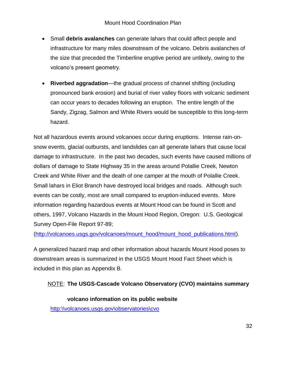- Small **debris avalanches** can generate lahars that could affect people and infrastructure for many miles downstream of the volcano. Debris avalanches of the size that preceded the Timberline eruptive period are unlikely, owing to the volcano's present geometry.
- **Riverbed aggradation**—the gradual process of channel shifting (including pronounced bank erosion) and burial of river valley floors with volcanic sediment can occur years to decades following an eruption. The entire length of the Sandy, Zigzag, Salmon and White Rivers would be susceptible to this long-term hazard.

Not all hazardous events around volcanoes occur during eruptions. Intense rain-onsnow events, glacial outbursts, and landslides can all generate lahars that cause local damage to infrastructure. In the past two decades, such events have caused millions of dollars of damage to State Highway 35 in the areas around Polallie Creek, Newton Creek and White River and the death of one camper at the mouth of Polallie Creek. Small lahars in Eliot Branch have destroyed local bridges and roads. Although such events can be costly, most are small compared to eruption-induced events. More information regarding hazardous events at Mount Hood can be found in Scott and others, 1997, Volcano Hazards in the Mount Hood Region, Oregon: U.S. Geological Survey Open-File Report 97-89;

[\(http://volcanoes.usgs.gov/volcanoes/mount\\_hood/mount\\_hood\\_publications.html\)](http://volcanoes.usgs.gov/volcanoes/mount_hood/mount_hood_publications.html).

A generalized hazard map and other information about hazards Mount Hood poses to downstream areas is summarized in the USGS Mount Hood Fact Sheet which is included in this plan as Appendix B.

#### NOTE: **The USGS-Cascade Volcano Observatory (CVO) maintains summary**

#### **volcano information on its public website**  [http:\\volcanoes.usgs.gov\observatories\cvo](http://vulcan.wr.usgs.gov/)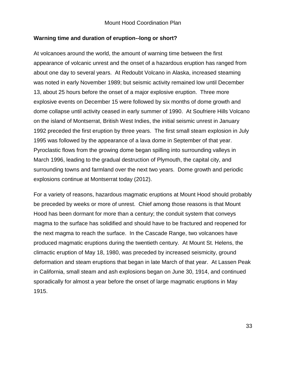#### **Warning time and duration of eruption--long or short?**

At volcanoes around the world, the amount of warning time between the first appearance of volcanic unrest and the onset of a hazardous eruption has ranged from about one day to several years. At Redoubt Volcano in Alaska, increased steaming was noted in early November 1989; but seismic activity remained low until December 13, about 25 hours before the onset of a major explosive eruption. Three more explosive events on December 15 were followed by six months of dome growth and dome collapse until activity ceased in early summer of 1990. At Soufriere Hills Volcano on the island of Montserrat, British West Indies, the initial seismic unrest in January 1992 preceded the first eruption by three years. The first small steam explosion in July 1995 was followed by the appearance of a lava dome in September of that year. Pyroclastic flows from the growing dome began spilling into surrounding valleys in March 1996, leading to the gradual destruction of Plymouth, the capital city, and surrounding towns and farmland over the next two years. Dome growth and periodic explosions continue at Montserrat today (2012).

For a variety of reasons, hazardous magmatic eruptions at Mount Hood should probably be preceded by weeks or more of unrest. Chief among those reasons is that Mount Hood has been dormant for more than a century; the conduit system that conveys magma to the surface has solidified and should have to be fractured and reopened for the next magma to reach the surface. In the Cascade Range, two volcanoes have produced magmatic eruptions during the twentieth century. At Mount St. Helens, the climactic eruption of May 18, 1980, was preceded by increased seismicity, ground deformation and steam eruptions that began in late March of that year. At Lassen Peak in California, small steam and ash explosions began on June 30, 1914, and continued sporadically for almost a year before the onset of large magmatic eruptions in May 1915.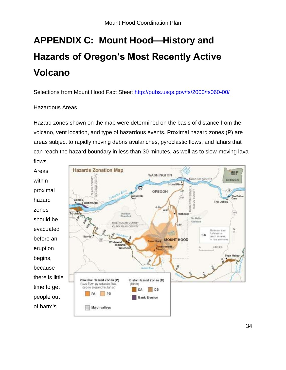# <span id="page-41-0"></span>**APPENDIX C: Mount Hood—History and Hazards of Oregon's Most Recently Active Volcano**

Selections from Mount Hood Fact Sheet<http://pubs.usgs.gov/fs/2000/fs060-00/>

#### Hazardous Areas

Hazard zones shown on the map were determined on the basis of distance from the volcano, vent location, and type of hazardous events. Proximal hazard zones (P) are areas subject to rapidly moving debris avalanches, pyroclastic flows, and lahars that can reach the hazard boundary in less than 30 minutes, as well as to slow-moving lava flows.

Areas within proximal hazard zones should be evacuated before an eruption begins, because there is little time to get people out of harm's

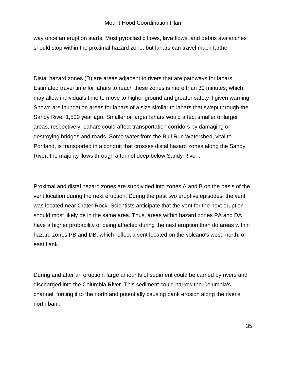way once an eruption starts. Most pyroclastic flows, lava flows, and debris avalanches should stop within the proximal hazard zone, but lahars can travel much farther.

Distal hazard zones (D) are areas adjacent to rivers that are pathways for lahars. Estimated travel time for lahars to reach these zones is more than 30 minutes, which may allow individuals time to move to higher ground and greater safety if given warning. Shown are inundation areas for lahars of a size similar to lahars that swept through the Sandy River 1,500 year ago. Smaller or larger lahars would affect smaller or larger areas, respectively. Lahars could affect transportation corridors by damaging or destroying bridges and roads. Some water from the Bull Run Watershed, vital to Portland, is transported in a conduit that crosses distal hazard zones along the Sandy River; the majority flows through a tunnel deep below Sandy River..

Proximal and distal hazard zones are subdivided into zones A and B on the basis of the vent location during the next eruption. During the past two eruptive episodes, the vent was located near Crater Rock. Scientists anticipate that the vent for the next eruption should most likely be in the same area. Thus, areas within hazard zones PA and DA have a higher probability of being affected during the next eruption than do areas within hazard zones PB and DB, which reflect a vent located on the volcano's west, north, or east flank.

During and after an eruption, large amounts of sediment could be carried by rivers and discharged into the Columbia River. This sediment could narrow the Columbia's channel, forcing it to the north and potentially causing bank erosion along the river's north bank.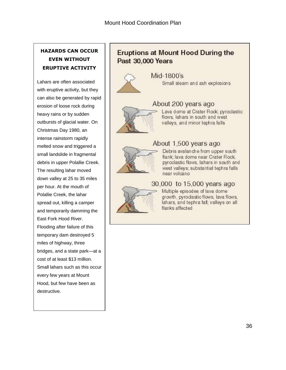### **HAZARDS CAN OCCUR EVEN WITHOUT ERUPTIVE ACTIVITY**

Lahars are often associated with eruptive activity, but they can also be generated by rapid erosion of loose rock during heavy rains or by sudden outbursts of glacial water. On Christmas Day 1980, an intense rainstorm rapidly melted snow and triggered a small landslide in fragmental debris in upper Polallie Creek. The resulting lahar moved down valley at 25 to 35 miles per hour. At the mouth of Polallie Creek, the lahar spread out, killing a camper and temporarily damming the East Fork Hood River. Flooding after failure of this temporary dam destroyed 5 miles of highway, three bridges, and a state park—at a cost of at least \$13 million. Small lahars such as this occur every few years at Mount Hood, but few have been as destructive.

### **Eruptions at Mount Hood During the** Past 30,000 Years



 $Mid-1800's$ Small steam and ash explosions

#### About 200 years ago



Lava dome at Crater Rock; pyroclastic flows, lahars in south and west valleys, and minor tephra falls

# About 1,500 years ago

#### Debris avalanche from upper south flank; lava dome near Crater Rock, pyroclastic flows, lahars in south and west valleys; substantial tephra falls near volcano

#### 30,000 to 15,000 years ago



Multiple episodes of lava dome growth, pyrodastic flows, lava flows, lahars, and tephra fall; valleys on all flanks affected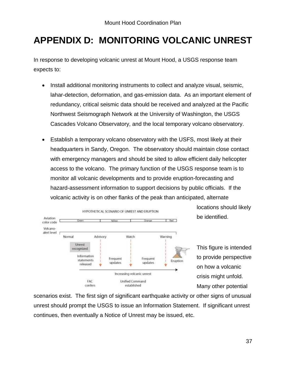# <span id="page-44-0"></span>**APPENDIX D: MONITORING VOLCANIC UNREST**

In response to developing volcanic unrest at Mount Hood, a USGS response team expects to:

- Install additional monitoring instruments to collect and analyze visual, seismic, lahar-detection, deformation, and gas-emission data. As an important element of redundancy, critical seismic data should be received and analyzed at the Pacific Northwest Seismograph Network at the University of Washington, the USGS Cascades Volcano Observatory, and the local temporary volcano observatory.
- Establish a temporary volcano observatory with the USFS, most likely at their headquarters in Sandy, Oregon. The observatory should maintain close contact with emergency managers and should be sited to allow efficient daily helicopter access to the volcano. The primary function of the USGS response team is to monitor all volcanic developments and to provide eruption-forecasting and hazard-assessment information to support decisions by public officials. If the volcanic activity is on other flanks of the peak than anticipated, alternate



locations should likely be identified.

This figure is intended to provide perspective on how a volcanic crisis might unfold. Many other potential

scenarios exist. The first sign of significant earthquake activity or other signs of unusual unrest should prompt the USGS to issue an Information Statement. If significant unrest continues, then eventually a Notice of Unrest may be issued, etc.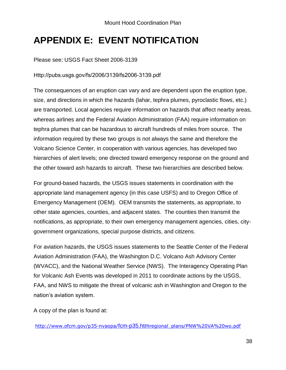# <span id="page-45-0"></span>**APPENDIX E: EVENT NOTIFICATION**

Please see: USGS Fact Sheet 2006-3139

Http://pubs.usgs.gov/fs/2006/3139/fs2006-3139.pdf

The consequences of an eruption can vary and are dependent upon the eruption type, size, and directions in which the hazards (lahar, tephra plumes, pyroclastic flows, etc.) are transported. Local agencies require information on hazards that affect nearby areas, whereas airlines and the Federal Aviation Administration (FAA) require information on tephra plumes that can be hazardous to aircraft hundreds of miles from source. The information required by these two groups is not always the same and therefore the Volcano Science Center, in cooperation with various agencies, has developed two hierarchies of alert levels; one directed toward emergency response on the ground and the other toward ash hazards to aircraft. These two hierarchies are described below.

For ground-based hazards, the USGS issues statements in coordination with the appropriate land management agency (in this case USFS) and to Oregon Office of Emergency Management (OEM). OEM transmits the statements, as appropriate, to other state agencies, counties, and adjacent states. The counties then transmit the notifications, as appropriate, to their own emergency management agencies, cities, citygovernment organizations, special purpose districts, and citizens.

For aviation hazards, the USGS issues statements to the Seattle Center of the Federal Aviation Administration (FAA), the Washington D.C. Volcano Ash Advisory Center (WVACC), and the National Weather Service (NWS). The Interagency Operating Plan for Volcanic Ash Events was developed in 2011 to coordinate actions by the USGS, FAA, and NWS to mitigate the threat of volcanic ash in Washington and Oregon to the nation's aviation system.

A copy of the plan is found at:

http://www.ofcm.gov/p35-nvaopa/fcm-p35.htm[regional\\_plans/PNW%20VA%20wo.pdf](http://www.ofcm.gov/p35-nvaopa/fcm-p35.htmregional_plans/PNW%20VA%20wo.pdf)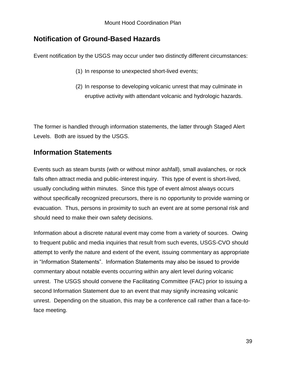### <span id="page-46-0"></span>**Notification of Ground-Based Hazards**

Event notification by the USGS may occur under two distinctly different circumstances:

- (1) In response to unexpected short-lived events;
- (2) In response to developing volcanic unrest that may culminate in eruptive activity with attendant volcanic and hydrologic hazards.

The former is handled through information statements, the latter through Staged Alert Levels. Both are issued by the USGS.

### <span id="page-46-1"></span>**Information Statements**

Events such as steam bursts (with or without minor ashfall), small avalanches, or rock falls often attract media and public-interest inquiry. This type of event is short-lived, usually concluding within minutes. Since this type of event almost always occurs without specifically recognized precursors, there is no opportunity to provide warning or evacuation. Thus, persons in proximity to such an event are at some personal risk and should need to make their own safety decisions.

Information about a discrete natural event may come from a variety of sources. Owing to frequent public and media inquiries that result from such events, USGS-CVO should attempt to verify the nature and extent of the event, issuing commentary as appropriate in "Information Statements". Information Statements may also be issued to provide commentary about notable events occurring within any alert level during volcanic unrest. The USGS should convene the Facilitating Committee (FAC) prior to issuing a second Information Statement due to an event that may signify increasing volcanic unrest. Depending on the situation, this may be a conference call rather than a face-toface meeting.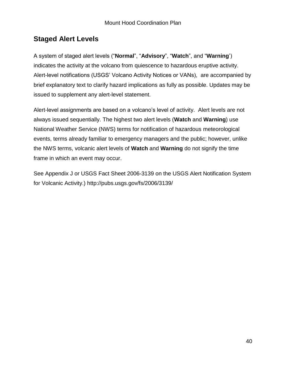# <span id="page-47-0"></span>**Staged Alert Levels**

A system of staged alert levels ("**Normal**", "**Advisory**", "**Watch**", and "**Warning**') indicates the activity at the volcano from quiescence to hazardous eruptive activity. Alert-level notifications (USGS' Volcano Activity Notices or VANs), are accompanied by brief explanatory text to clarify hazard implications as fully as possible. Updates may be issued to supplement any alert-level statement.

Alert-level assignments are based on a volcano's level of activity. Alert levels are not always issued sequentially. The highest two alert levels (**Watch** and **Warning**) use National Weather Service (NWS) terms for notification of hazardous meteorological events, terms already familiar to emergency managers and the public; however, unlike the NWS terms, volcanic alert levels of **Watch** and **Warning** do not signify the time frame in which an event may occur.

See Appendix J or USGS Fact Sheet 2006-3139 on the USGS Alert Notification System for Volcanic Activity.) http://pubs.usgs.gov/fs/2006/3139/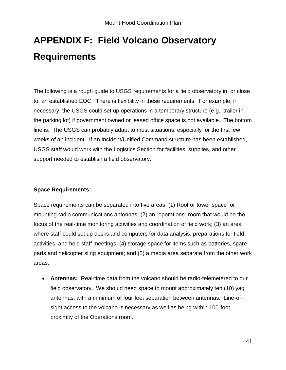# <span id="page-48-0"></span>**APPENDIX F: Field Volcano Observatory Requirements**

The following is a rough guide to USGS requirements for a field observatory in, or close to, an established EOC. There is flexibility in these requirements. For example, if necessary, the USGS could set up operations in a temporary structure (e.g., trailer in the parking lot) if government owned or leased office space is not available. The bottom line is: The USGS can probably adapt to most situations, especially for the first few weeks of an incident. If an Incident/Unified Command structure has been established, USGS staff would work with the Logistics Section for facilities, supplies, and other support needed to establish a field observatory.

#### **Space Requirements:**

Space requirements can be separated into five areas; (1) Roof or tower space for mounting radio communications antennas; (2) an "operations" room that would be the focus of the real-time monitoring activities and coordination of field work; (3) an area where staff could set up desks and computers for data analysis, preparations for field activities, and hold staff meetings; (4) storage space for items such as batteries, spare parts and helicopter sling equipment; and (5) a media area separate from the other work areas.

 **Antennas:** Real-time data from the volcano should be radio-telemetered to our field observatory. We should need space to mount approximately ten (10) yagi antennas, with a minimum of four feet separation between antennas. Line-ofsight access to the volcano is necessary as well as being within 100-foot proximity of the Operations room.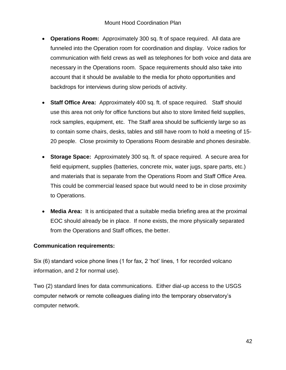- **Operations Room:** Approximately 300 sq. ft of space required. All data are funneled into the Operation room for coordination and display. Voice radios for communication with field crews as well as telephones for both voice and data are necessary in the Operations room. Space requirements should also take into account that it should be available to the media for photo opportunities and backdrops for interviews during slow periods of activity.
- **Staff Office Area:** Approximately 400 sq. ft. of space required. Staff should use this area not only for office functions but also to store limited field supplies, rock samples, equipment, etc. The Staff area should be sufficiently large so as to contain some chairs, desks, tables and still have room to hold a meeting of 15- 20 people. Close proximity to Operations Room desirable and phones desirable.
- **Storage Space:** Approximately 300 sq. ft. of space required. A secure area for field equipment, supplies (batteries, concrete mix, water jugs, spare parts, etc.) and materials that is separate from the Operations Room and Staff Office Area. This could be commercial leased space but would need to be in close proximity to Operations.
- **Media Area:** It is anticipated that a suitable media briefing area at the proximal EOC should already be in place. If none exists, the more physically separated from the Operations and Staff offices, the better.

#### **Communication requirements:**

Six (6) standard voice phone lines (1 for fax, 2 'hot' lines, 1 for recorded volcano information, and 2 for normal use).

Two (2) standard lines for data communications. Either dial-up access to the USGS computer network or remote colleagues dialing into the temporary observatory's computer network.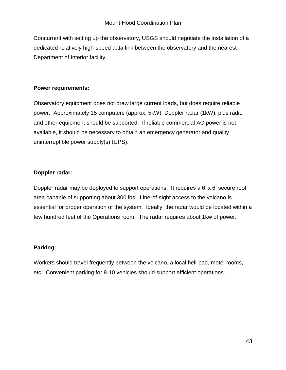Concurrent with setting up the observatory, USGS should negotiate the installation of a dedicated relatively high-speed data link between the observatory and the nearest Department of Interior facility.

#### **Power requirements:**

Observatory equipment does not draw large current loads, but does require reliable power. Approximately 15 computers (approx. 5kW), Doppler radar (1kW), plus radio and other equipment should be supported. If reliable commercial AC power is not available, it should be necessary to obtain an emergency generator and quality uninterruptible power supply(s) (UPS).

#### **Doppler radar:**

Doppler radar may be deployed to support operations. It requires a  $6' \times 6'$  secure roof area capable of supporting about 300 lbs. Line-of-sight access to the volcano is essential for proper operation of the system. Ideally, the radar would be located within a few hundred feet of the Operations room. The radar requires about 1kw of power.

#### **Parking:**

Workers should travel frequently between the volcano, a local heli-pad, motel rooms, etc. Convenient parking for 8-10 vehicles should support efficient operations.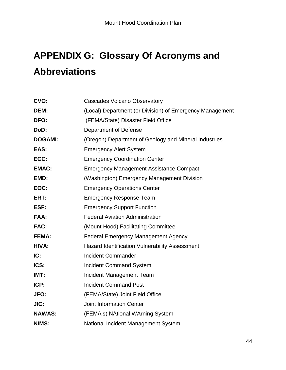# <span id="page-51-0"></span>**APPENDIX G: Glossary Of Acronyms and Abbreviations**

| CVO:           | <b>Cascades Volcano Observatory</b>                      |
|----------------|----------------------------------------------------------|
| DEM:           | (Local) Department (or Division) of Emergency Management |
| DFO:           | (FEMA/State) Disaster Field Office                       |
| DoD:           | Department of Defense                                    |
| <b>DOGAMI:</b> | (Oregon) Department of Geology and Mineral Industries    |
| EAS:           | <b>Emergency Alert System</b>                            |
| ECC:           | <b>Emergency Coordination Center</b>                     |
| <b>EMAC:</b>   | <b>Emergency Management Assistance Compact</b>           |
| EMD:           | (Washington) Emergency Management Division               |
| EOC:           | <b>Emergency Operations Center</b>                       |
| ERT:           | <b>Emergency Response Team</b>                           |
| ESF:           | <b>Emergency Support Function</b>                        |
| FAA:           | <b>Federal Aviation Administration</b>                   |
| <b>FAC:</b>    | (Mount Hood) Facilitating Committee                      |
| <b>FEMA:</b>   | <b>Federal Emergency Management Agency</b>               |
| <b>HIVA:</b>   | <b>Hazard Identification Vulnerability Assessment</b>    |
| IC:            | <b>Incident Commander</b>                                |
| ICS:           | <b>Incident Command System</b>                           |
| IMT:           | <b>Incident Management Team</b>                          |
| ICP:           | <b>Incident Command Post</b>                             |
| JFO:           | (FEMA/State) Joint Field Office                          |
| JIC:           | <b>Joint Information Center</b>                          |
| <b>NAWAS:</b>  | (FEMA's) NAtional WArning System                         |
| NIMS:          | National Incident Management System                      |
|                |                                                          |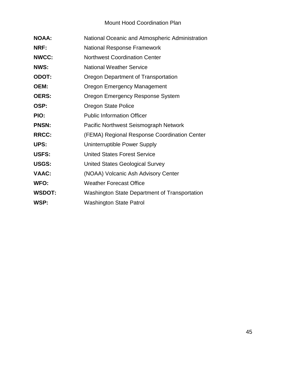#### Mount Hood Coordination Plan

| <b>NOAA:</b>  | National Oceanic and Atmospheric Administration |
|---------------|-------------------------------------------------|
| NRF:          | <b>National Response Framework</b>              |
| <b>NWCC:</b>  | <b>Northwest Coordination Center</b>            |
| NWS:          | <b>National Weather Service</b>                 |
| <b>ODOT:</b>  | Oregon Department of Transportation             |
| <b>OEM:</b>   | <b>Oregon Emergency Management</b>              |
| <b>OERS:</b>  | Oregon Emergency Response System                |
| OSP:          | Oregon State Police                             |
| PIO:          | <b>Public Information Officer</b>               |
| <b>PNSN:</b>  | Pacific Northwest Seismograph Network           |
| <b>RRCC:</b>  | (FEMA) Regional Response Coordination Center    |
| UPS:          | Uninterruptible Power Supply                    |
| <b>USFS:</b>  | <b>United States Forest Service</b>             |
| <b>USGS:</b>  | <b>United States Geological Survey</b>          |
| <b>VAAC:</b>  | (NOAA) Volcanic Ash Advisory Center             |
| WFO:          | <b>Weather Forecast Office</b>                  |
| <b>WSDOT:</b> | Washington State Department of Transportation   |
| WSP:          | <b>Washington State Patrol</b>                  |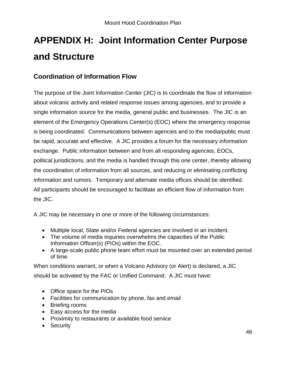# <span id="page-53-0"></span>**APPENDIX H: Joint Information Center Purpose and Structure**

### **Coordination of Information Flow**

The purpose of the Joint Information Center (JIC) is to coordinate the flow of information about volcanic activity and related response issues among agencies, and to provide a single information source for the media, general public and businesses. The JIC is an element of the Emergency Operations Center(s) (EOC) where the emergency response is being coordinated. Communications between agencies and to the media/public must be rapid, accurate and effective. A JIC provides a forum for the necessary information exchange. Public information between and from all responding agencies, EOCs, political jurisdictions, and the media is handled through this one center, thereby allowing the coordination of information from all sources, and reducing or eliminating conflicting information and rumors. Temporary and alternate media offices should be identified. All participants should be encouraged to facilitate an efficient flow of information from the JIC.

A JIC may be necessary in one or more of the following circumstances:

- Multiple local, State and/or Federal agencies are involved in an incident.
- The volume of media inquiries overwhelms the capacities of the Public Information Officer(s) (PIOs) within the EOC.
- A large-scale public phone team effort must be mounted over an extended period of time.

When conditions warrant, or when a Volcano Advisory (or Alert) is declared, a JIC should be activated by the FAC or Unified Command. A JIC must have:

- Office space for the PIOs
- Facilities for communication by phone, fax and email
- Briefing rooms
- Easy access for the media
- Proximity to restaurants or available food service
- Security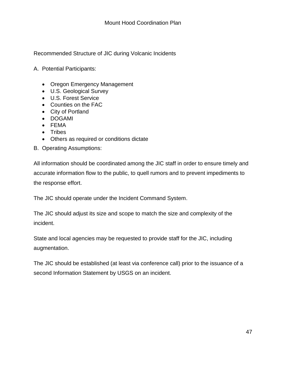Recommended Structure of JIC during Volcanic Incidents

#### A. Potential Participants:

- Oregon Emergency Management
- U.S. Geological Survey
- U.S. Forest Service
- Counties on the FAC
- City of Portland
- DOGAMI
- FEMA
- Tribes
- Others as required or conditions dictate
- B. Operating Assumptions:

All information should be coordinated among the JIC staff in order to ensure timely and accurate information flow to the public, to quell rumors and to prevent impediments to the response effort.

The JIC should operate under the Incident Command System.

The JIC should adjust its size and scope to match the size and complexity of the incident.

State and local agencies may be requested to provide staff for the JIC, including augmentation.

The JIC should be established (at least via conference call) prior to the issuance of a second Information Statement by USGS on an incident.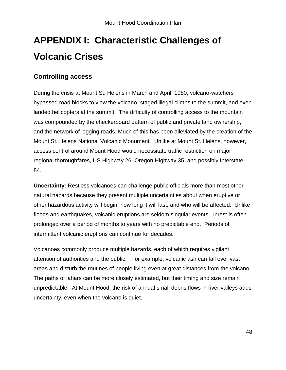# <span id="page-55-0"></span>**APPENDIX I: Characteristic Challenges of Volcanic Crises**

### **Controlling access**

During the crisis at Mount St. Helens in March and April, 1980, volcano-watchers bypassed road blocks to view the volcano, staged illegal climbs to the summit, and even landed helicopters at the summit. The difficulty of controlling access to the mountain was compounded by the checkerboard pattern of public and private land ownership, and the network of logging roads. Much of this has been alleviated by the creation of the Mount St. Helens National Volcanic Monument. Unlike at Mount St. Helens, however, access control around Mount Hood would necessitate traffic restriction on major regional thoroughfares, US Highway 26, Oregon Highway 35, and possibly Interstate-84.

**Uncertainty:** Restless volcanoes can challenge public officials more than most other natural hazards because they present multiple uncertainties about when eruptive or other hazardous activity will begin, how long it will last, and who will be affected. Unlike floods and earthquakes, volcanic eruptions are seldom singular events; unrest is often prolonged over a period of months to years with no predictable end. Periods of intermittent volcanic eruptions can continue for decades.

Volcanoes commonly produce multiple hazards, each of which requires vigilant attention of authorities and the public. For example, volcanic ash can fall over vast areas and disturb the routines of people living even at great distances from the volcano. The paths of lahars can be more closely estimated, but their timing and size remain unpredictable. At Mount Hood, the risk of annual small debris flows in river valleys adds uncertainty, even when the volcano is quiet.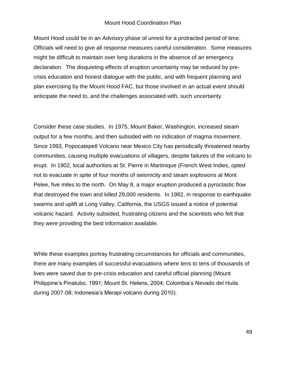#### Mount Hood Coordination Plan

Mount Hood could be in an *Advisory* phase of unrest for a protracted period of time. Officials will need to give all response measures careful consideration. Some measures might be difficult to maintain over long durations in the absence of an emergency declaration. The disquieting effects of eruption uncertainty may be reduced by precrisis education and honest dialogue with the public, and with frequent planning and plan exercising by the Mount Hood FAC, but those involved in an actual event should anticipate the need to, and the challenges associated with, such uncertainty.

Consider these case studies. In 1975, Mount Baker, Washington, increased steam output for a few months, and then subsided with no indication of magma movement. Since 1993, Popocatepetl Volcano near Mexico City has periodically threatened nearby communities, causing multiple evacuations of villagers, despite failures of the volcano to erupt. In 1902, local authorities at St. Pierre in Martinique (French West Indies, opted not to evacuate in spite of four months of seismicity and steam explosions at Mont Pelee, five miles to the north. On May 8, a major eruption produced a pyroclastic flow that destroyed the town and killed 29,000 residents. In 1982, in response to earthquake swarms and uplift at Long Valley, California, the USGS issued a notice of potential volcanic hazard. Activity subsided, frustrating citizens and the scientists who felt that they were providing the best information available.

While these examples portray frustrating circumstances for officials and communities, there are many examples of successful evacuations where tens to tens of thousands of lives were saved due to pre-crisis education and careful official planning (Mount Philippine's Pinatubo, 1991; Mount St. Helens, 2004; Colombia's Nevado del Huila during 2007-08; Indonesia's Merapi volcano during 2010).

49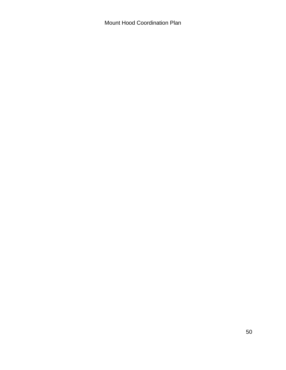Mount Hood Coordination Plan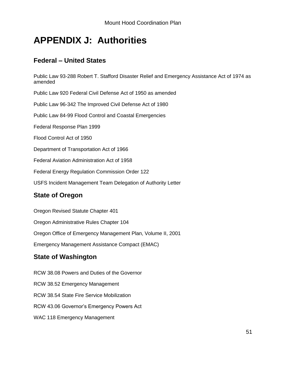# <span id="page-58-0"></span>**APPENDIX J: Authorities**

#### **Federal – United States**

Public Law 93-288 Robert T. Stafford Disaster Relief and Emergency Assistance Act of 1974 as amended

Public Law 920 Federal Civil Defense Act of 1950 as amended

Public Law 96-342 The Improved Civil Defense Act of 1980

Public Law 84-99 Flood Control and Coastal Emergencies

Federal Response Plan 1999

Flood Control Act of 1950

Department of Transportation Act of 1966

Federal Aviation Administration Act of 1958

Federal Energy Regulation Commission Order 122

USFS Incident Management Team Delegation of Authority Letter

### **State of Oregon**

Oregon Revised Statute Chapter 401

Oregon Administrative Rules Chapter 104

Oregon Office of Emergency Management Plan, Volume II, 2001

Emergency Management Assistance Compact (EMAC)

#### **State of Washington**

RCW 38.08 Powers and Duties of the Governor RCW 38.52 Emergency Management RCW 38.54 State Fire Service Mobilization RCW 43.06 Governor's Emergency Powers Act WAC 118 Emergency Management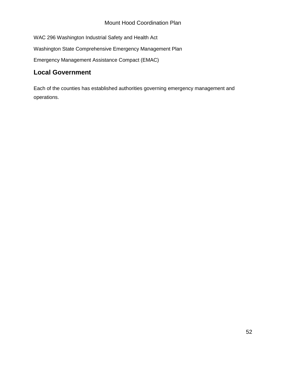WAC 296 Washington Industrial Safety and Health Act

Washington State Comprehensive Emergency Management Plan

Emergency Management Assistance Compact (EMAC)

#### **Local Government**

Each of the counties has established authorities governing emergency management and operations.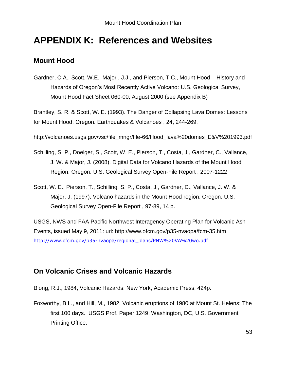# <span id="page-60-0"></span>**APPENDIX K: References and Websites**

#### <span id="page-60-1"></span>**Mount Hood**

Gardner, C.A., Scott, W.E., Major , J.J., and Pierson, T.C., Mount Hood – History and Hazards of Oregon's Most Recently Active Volcano: U.S. Geological Survey, Mount Hood Fact Sheet 060-00, August 2000 (see Appendix B)

Brantley, S. R. & Scott, W. E. (1993). The Danger of Collapsing Lava Domes: Lessons for Mount Hood, Oregon. Earthquakes & Volcanoes , 24, 244-269.

http://volcanoes.usgs.gov/vsc/file\_mngr/file-66/Hood\_lava%20domes\_E&V%201993.pdf

- Schilling, S. P., Doelger, S., Scott, W. E., Pierson, T., Costa, J., Gardner, C., Vallance, J. W. & Major, J. (2008). [Digital Data for Volcano Hazards of the Mount Hood](http://pubs.er.usgs.gov/publication/ofr20071222)  [Region, Oregon.](http://pubs.er.usgs.gov/publication/ofr20071222) U.S. Geological Survey Open-File Report , 2007-1222
- Scott, W. E., Pierson, T., Schilling, S. P., Costa, J., Gardner, C., Vallance, J. W. & Major, J. (1997). [Volcano hazards in the Mount Hood region, Oregon.](http://pubs.er.usgs.gov/publication/ofr9789) U.S. Geological Survey Open-File Report , 97-89, 14 p.

USGS, NWS and FAA Pacific Northwest Interagency Operating Plan for Volcanic Ash Events, issued May 9, 2011: url: http://www.ofcm.gov/p35-nvaopa/fcm-35.htm [http://www.ofcm.gov/p35-nvaopa/regional\\_plans/PNW%20VA%20wo.pdf](http://www.ofcm.gov/p35-nvaopa/regional_plans/PNW%20VA%20wo.pdf)

### <span id="page-60-2"></span>**On Volcanic Crises and Volcanic Hazards**

Blong, R.J., 1984, Volcanic Hazards: New York, Academic Press, 424p.

Foxworthy, B.L., and Hill, M., 1982, Volcanic eruptions of 1980 at Mount St. Helens: The first 100 days. USGS Prof. Paper 1249: Washington, DC, U.S. Government Printing Office.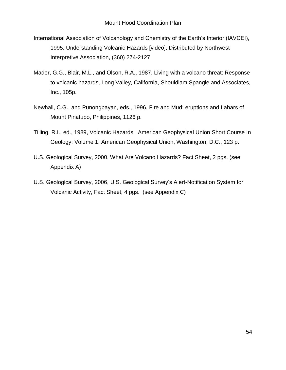- International Association of Volcanology and Chemistry of the Earth's Interior (IAVCEI), 1995, Understanding Volcanic Hazards [video], Distributed by Northwest Interpretive Association, (360) 274-2127
- Mader, G.G., Blair, M.L., and Olson, R.A., 1987, Living with a volcano threat: Response to volcanic hazards, Long Valley, California, Shouldiam Spangle and Associates, Inc., 105p.
- Newhall, C.G., and Punongbayan, eds., 1996, Fire and Mud: eruptions and Lahars of Mount Pinatubo, Philippines, 1126 p.
- Tilling, R.I., ed., 1989, Volcanic Hazards. American Geophysical Union Short Course In Geology: Volume 1, American Geophysical Union, Washington, D.C., 123 p.
- U.S. Geological Survey, 2000, What Are Volcano Hazards? Fact Sheet, 2 pgs. (see Appendix A)
- U.S. Geological Survey, 2006, U.S. Geological Survey's Alert-Notification System for Volcanic Activity, Fact Sheet, 4 pgs. (see Appendix C)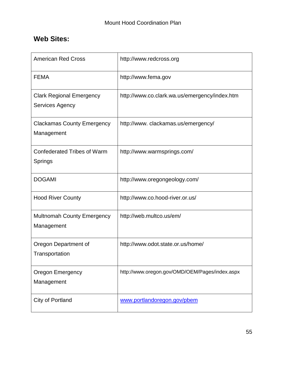### <span id="page-62-0"></span>**Web Sites:**

| <b>American Red Cross</b>                                 | http://www.redcross.org                        |
|-----------------------------------------------------------|------------------------------------------------|
| <b>FEMA</b>                                               | http://www.fema.gov                            |
| <b>Clark Regional Emergency</b><br><b>Services Agency</b> | http://www.co.clark.wa.us/emergency/index.htm  |
| <b>Clackamas County Emergency</b><br>Management           | http://www.clackamas.us/emergency/             |
| <b>Confederated Tribes of Warm</b><br>Springs             | http://www.warmsprings.com/                    |
| <b>DOGAMI</b>                                             | http://www.oregongeology.com/                  |
| <b>Hood River County</b>                                  | http://www.co.hood-river.or.us/                |
| <b>Multnomah County Emergency</b><br>Management           | http://web.multco.us/em/                       |
| Oregon Department of<br>Transportation                    | http://www.odot.state.or.us/home/              |
| <b>Oregon Emergency</b><br>Management                     | http://www.oregon.gov/OMD/OEM/Pages/index.aspx |
| City of Portland                                          | www.portlandoregon.gov/pbem                    |